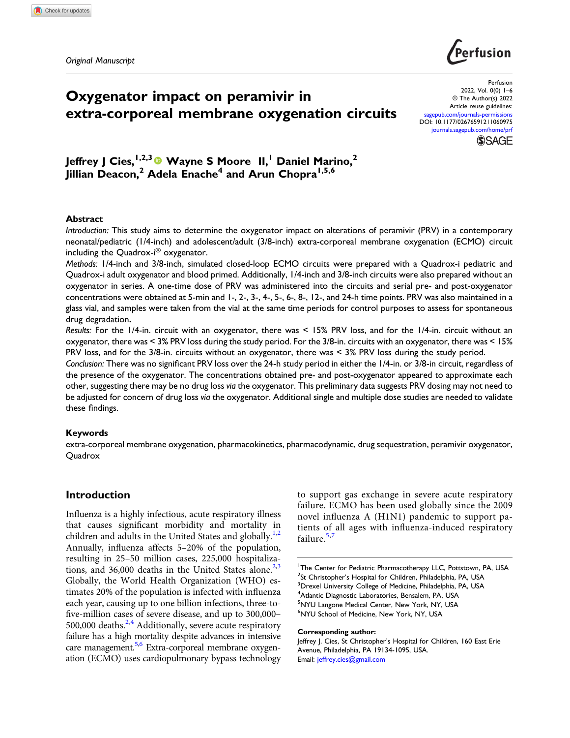Original Manuscript



# Oxygenator impact on peramivir in extra-corporeal membrane oxygenation circuits

Perfusion 2022, Vol. 0(0) 1–6 © The Author(s) 2022 Article reuse guidelines: sagepub.com/journals-permissions DOI: 10.1177/02676591211060975 journals.sagepub.com/home/prf **SSAGE** 

Jeffrey J Cies,  $1,2,3}$  Wayne S Moore II, Daniel Marino,<sup>2</sup> Jillian Deacon,<sup>2</sup> Adela Enache<sup>4</sup> and Arun Chopra<sup>1,5,6</sup>

## Abstract

Introduction: This study aims to determine the oxygenator impact on alterations of peramivir (PRV) in a contemporary neonatal/pediatric (1/4-inch) and adolescent/adult (3/8-inch) extra-corporeal membrane oxygenation (ECMO) circuit including the Quadrox-i® oxygenator.

Methods: 1/4-inch and 3/8-inch, simulated closed-loop ECMO circuits were prepared with a Quadrox-i pediatric and Quadrox-i adult oxygenator and blood primed. Additionally, 1/4-inch and 3/8-inch circuits were also prepared without an oxygenator in series. A one-time dose of PRV was administered into the circuits and serial pre- and post-oxygenator concentrations were obtained at 5-min and 1-, 2-, 3-, 4-, 5-, 6-, 8-, 12-, and 24-h time points. PRV was also maintained in a glass vial, and samples were taken from the vial at the same time periods for control purposes to assess for spontaneous drug degradation.

Results: For the 1/4-in. circuit with an oxygenator, there was < 15% PRV loss, and for the 1/4-in. circuit without an oxygenator, there was < 3% PRV loss during the study period. For the 3/8-in. circuits with an oxygenator, there was < 15% PRV loss, and for the 3/8-in. circuits without an oxygenator, there was < 3% PRV loss during the study period.

Conclusion: There was no significant PRV loss over the 24-h study period in either the 1/4-in. or 3/8-in circuit, regardless of the presence of the oxygenator. The concentrations obtained pre- and post-oxygenator appeared to approximate each other, suggesting there may be no drug loss via the oxygenator. This preliminary data suggests PRV dosing may not need to be adjusted for concern of drug loss via the oxygenator. Additional single and multiple dose studies are needed to validate these findings.

#### Keywords

extra-corporeal membrane oxygenation, pharmacokinetics, pharmacodynamic, drug sequestration, peramivir oxygenator, **Quadrox** 

# Introduction

Influenza is a highly infectious, acute respiratory illness that causes significant morbidity and mortality in children and adults in the United States and globally. $1,2$ Annually, influenza affects 5–20% of the population, resulting in 25–50 million cases, 225,000 hospitalizations, and  $36,000$  deaths in the United States alone.<sup>2,3</sup> Globally, the World Health Organization (WHO) estimates 20% of the population is infected with influenza each year, causing up to one billion infections, three-tofive-million cases of severe disease, and up to 300,000– 500,000 deaths.<sup>2,4</sup> Additionally, severe acute respiratory failure has a high mortality despite advances in intensive care management.<sup>5,6</sup> Extra-corporeal membrane oxygenation (ECMO) uses cardiopulmonary bypass technology

to support gas exchange in severe acute respiratory failure. ECMO has been used globally since the 2009 novel influenza A (H1N1) pandemic to support patients of all ages with influenza-induced respiratory failure. $5,7$ 

#### Corresponding author:

Jeffrey J. Cies, St Christopher's Hospital for Children, 160 East Erie Avenue, Philadelphia, PA 19134-1095, USA. Email: jeffrey.cies@gmail.com

<sup>&</sup>lt;sup>1</sup>The Center for Pediatric Pharmacotherapy LLC, Pottstown, PA, USA <sup>2</sup>St Christopher's Hospital for Children, Philadelphia, PA, USA<br><sup>3</sup>Droval University College of Medicine, Philadelphia, PA, USA <sup>3</sup>Drexel University College of Medicine, Philadelphia, PA, USA 4 Atlantic Diagnostic Laboratories, Bensalem, PA, USA 5 NYU Langone Medical Center, New York, NY, USA 6 NYU School of Medicine, New York, NY, USA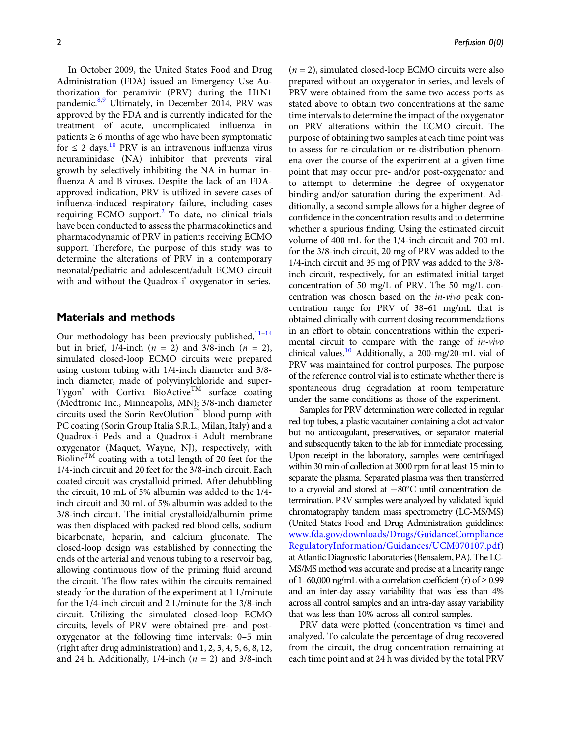In October 2009, the United States Food and Drug Administration (FDA) issued an Emergency Use Authorization for peramivir (PRV) during the H1N1 pandemic.<sup>8,9</sup> Ultimately, in December 2014, PRV was approved by the FDA and is currently indicated for the treatment of acute, uncomplicated influenza in patients  $\geq 6$  months of age who have been symptomatic for  $\leq$  2 days.<sup>10</sup> PRV is an intravenous influenza virus neuraminidase (NA) inhibitor that prevents viral growth by selectively inhibiting the NA in human influenza A and B viruses. Despite the lack of an FDAapproved indication, PRV is utilized in severe cases of influenza-induced respiratory failure, including cases requiring ECMO support.<sup>2</sup> To date, no clinical trials have been conducted to assess the pharmacokinetics and pharmacodynamic of PRV in patients receiving ECMO support. Therefore, the purpose of this study was to determine the alterations of PRV in a contemporary neonatal/pediatric and adolescent/adult ECMO circuit with and without the Quadrox-i<sup>®</sup> oxygenator in series.

# Materials and methods

Our methodology has been previously published, $11-14$ but in brief,  $1/4$ -inch  $(n = 2)$  and  $3/8$ -inch  $(n = 2)$ , simulated closed-loop ECMO circuits were prepared using custom tubing with 1/4-inch diameter and 3/8 inch diameter, made of polyvinylchloride and super-Tygon<sup>®</sup> with Cortiva BioActive<sup>TM</sup> surface coating (Medtronic Inc., Minneapolis, MN); 3/8-inch diameter circuits used the Sorin RevOlution<sup>184</sup> blood pump with PC coating (Sorin Group Italia S.R.L., Milan, Italy) and a Quadrox-i Peds and a Quadrox-i Adult membrane oxygenator (Maquet, Wayne, NJ), respectively, with Bioline<sup>TM</sup> coating with a total length of 20 feet for the 1/4-inch circuit and 20 feet for the 3/8-inch circuit. Each coated circuit was crystalloid primed. After debubbling the circuit, 10 mL of 5% albumin was added to the 1/4 inch circuit and 30 mL of 5% albumin was added to the 3/8-inch circuit. The initial crystalloid/albumin prime was then displaced with packed red blood cells, sodium bicarbonate, heparin, and calcium gluconate. The closed-loop design was established by connecting the ends of the arterial and venous tubing to a reservoir bag, allowing continuous flow of the priming fluid around the circuit. The flow rates within the circuits remained steady for the duration of the experiment at 1 L/minute for the 1/4-inch circuit and 2 L/minute for the 3/8-inch circuit. Utilizing the simulated closed-loop ECMO circuits, levels of PRV were obtained pre- and postoxygenator at the following time intervals: 0–5 min (right after drug administration) and 1, 2, 3, 4, 5, 6, 8, 12, and 24 h. Additionally,  $1/4$ -inch ( $n = 2$ ) and  $3/8$ -inch

 $(n = 2)$ , simulated closed-loop ECMO circuits were also prepared without an oxygenator in series, and levels of PRV were obtained from the same two access ports as stated above to obtain two concentrations at the same time intervals to determine the impact of the oxygenator on PRV alterations within the ECMO circuit. The purpose of obtaining two samples at each time point was to assess for re-circulation or re-distribution phenomena over the course of the experiment at a given time point that may occur pre- and/or post-oxygenator and to attempt to determine the degree of oxygenator binding and/or saturation during the experiment. Additionally, a second sample allows for a higher degree of confidence in the concentration results and to determine whether a spurious finding. Using the estimated circuit volume of 400 mL for the 1/4-inch circuit and 700 mL for the 3/8-inch circuit, 20 mg of PRV was added to the 1/4-inch circuit and 35 mg of PRV was added to the 3/8 inch circuit, respectively, for an estimated initial target concentration of 50 mg/L of PRV. The 50 mg/L concentration was chosen based on the in-vivo peak concentration range for PRV of 38–61 mg/mL that is obtained clinically with current dosing recommendations in an effort to obtain concentrations within the experimental circuit to compare with the range of in-vivo clinical values.<sup>10</sup> Additionally, a 200-mg/20-mL vial of PRV was maintained for control purposes. The purpose of the reference control vial is to estimate whether there is spontaneous drug degradation at room temperature under the same conditions as those of the experiment.

Samples for PRV determination were collected in regular red top tubes, a plastic vacutainer containing a clot activator but no anticoagulant, preservatives, or separator material and subsequently taken to the lab for immediate processing. Upon receipt in the laboratory, samples were centrifuged within 30 min of collection at 3000 rpm for at least 15 min to separate the plasma. Separated plasma was then transferred to a cryovial and stored at  $-80^{\circ}$ C until concentration determination. PRV samples were analyzed by validated liquid chromatography tandem mass spectrometry (LC-MS/MS) (United States Food and Drug Administration guidelines: www.fda.gov/downloads/Drugs/GuidanceCompliance RegulatoryInformation/Guidances/UCM070107.pdf) at Atlantic Diagnostic Laboratories (Bensalem, PA). The LC-MS/MS method was accurate and precise at a linearity range of 1–60,000 ng/mL with a correlation coefficient (r) of  $\geq$  0.99 and an inter-day assay variability that was less than 4% across all control samples and an intra-day assay variability that was less than 10% across all control samples.

PRV data were plotted (concentration vs time) and analyzed. To calculate the percentage of drug recovered from the circuit, the drug concentration remaining at each time point and at 24 h was divided by the total PRV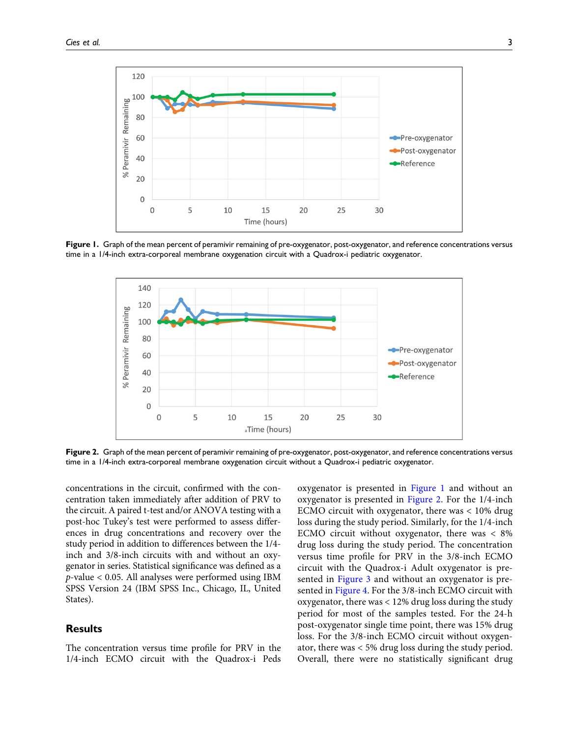

Figure 1. Graph of the mean percent of peramivir remaining of pre-oxygenator, post-oxygenator, and reference concentrations versus time in a 1/4-inch extra-corporeal membrane oxygenation circuit with a Quadrox-i pediatric oxygenator.



Figure 2. Graph of the mean percent of peramivir remaining of pre-oxygenator, post-oxygenator, and reference concentrations versus time in a 1/4-inch extra-corporeal membrane oxygenation circuit without a Quadrox-i pediatric oxygenator.

concentrations in the circuit, confirmed with the concentration taken immediately after addition of PRV to the circuit. A paired t-test and/or ANOVA testing with a post-hoc Tukey's test were performed to assess differences in drug concentrations and recovery over the study period in addition to differences between the 1/4 inch and 3/8-inch circuits with and without an oxygenator in series. Statistical significance was defined as a  $p$ -value  $< 0.05$ . All analyses were performed using IBM SPSS Version 24 (IBM SPSS Inc., Chicago, IL, United States).

## **Results**

The concentration versus time profile for PRV in the 1/4-inch ECMO circuit with the Quadrox-i Peds

oxygenator is presented in Figure 1 and without an oxygenator is presented in Figure 2. For the 1/4-inch ECMO circuit with oxygenator, there was < 10% drug loss during the study period. Similarly, for the 1/4-inch ECMO circuit without oxygenator, there was < 8% drug loss during the study period. The concentration versus time profile for PRV in the 3/8-inch ECMO circuit with the Quadrox-i Adult oxygenator is presented in Figure 3 and without an oxygenator is presented in Figure 4. For the 3/8-inch ECMO circuit with oxygenator, there was < 12% drug loss during the study period for most of the samples tested. For the 24-h post-oxygenator single time point, there was 15% drug loss. For the 3/8-inch ECMO circuit without oxygenator, there was < 5% drug loss during the study period. Overall, there were no statistically significant drug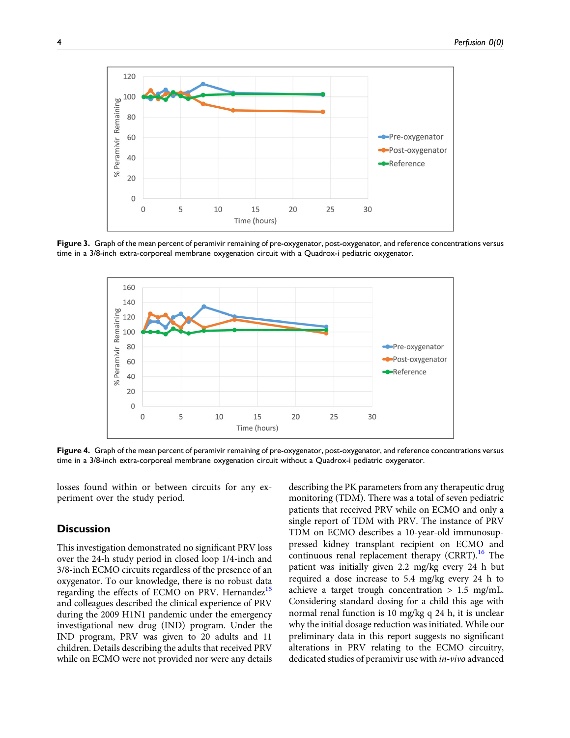

Figure 3. Graph of the mean percent of peramivir remaining of pre-oxygenator, post-oxygenator, and reference concentrations versus time in a 3/8-inch extra-corporeal membrane oxygenation circuit with a Quadrox-i pediatric oxygenator.



Figure 4. Graph of the mean percent of peramivir remaining of pre-oxygenator, post-oxygenator, and reference concentrations versus time in a 3/8-inch extra-corporeal membrane oxygenation circuit without a Quadrox-i pediatric oxygenator.

losses found within or between circuits for any experiment over the study period.

# **Discussion**

This investigation demonstrated no significant PRV loss over the 24-h study period in closed loop 1/4-inch and 3/8-inch ECMO circuits regardless of the presence of an oxygenator. To our knowledge, there is no robust data regarding the effects of ECMO on PRV. Hernandez<sup>15</sup> and colleagues described the clinical experience of PRV during the 2009 H1N1 pandemic under the emergency investigational new drug (IND) program. Under the IND program, PRV was given to 20 adults and 11 children. Details describing the adults that received PRV while on ECMO were not provided nor were any details describing the PK parameters from any therapeutic drug monitoring (TDM). There was a total of seven pediatric patients that received PRV while on ECMO and only a single report of TDM with PRV. The instance of PRV TDM on ECMO describes a 10-year-old immunosuppressed kidney transplant recipient on ECMO and continuous renal replacement therapy  $(CRRT)$ .<sup>16</sup> The patient was initially given 2.2 mg/kg every 24 h but required a dose increase to 5.4 mg/kg every 24 h to achieve a target trough concentration  $> 1.5$  mg/mL. Considering standard dosing for a child this age with normal renal function is 10 mg/kg q 24 h, it is unclear why the initial dosage reduction was initiated. While our preliminary data in this report suggests no significant alterations in PRV relating to the ECMO circuitry, dedicated studies of peramivir use with in-vivo advanced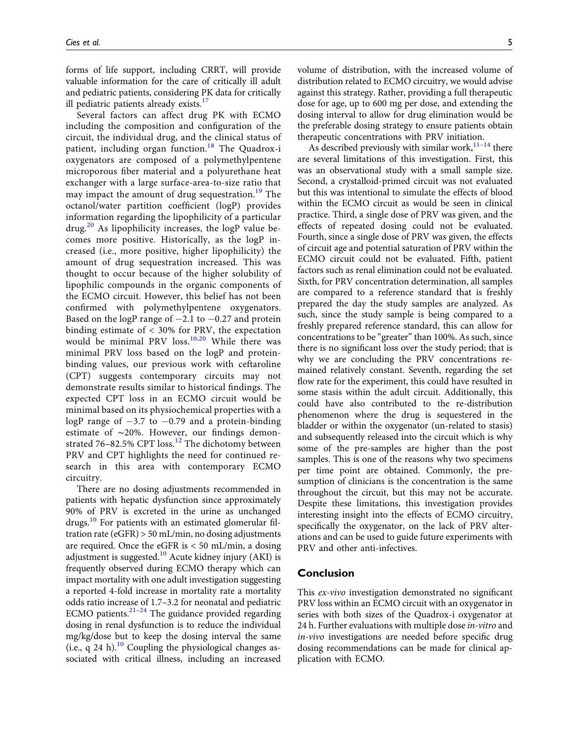forms of life support, including CRRT, will provide valuable information for the care of critically ill adult and pediatric patients, considering PK data for critically ill pediatric patients already exists. $17$ 

Several factors can affect drug PK with ECMO including the composition and configuration of the circuit, the individual drug, and the clinical status of patient, including organ function.<sup>18</sup> The Quadrox-i oxygenators are composed of a polymethylpentene microporous fiber material and a polyurethane heat exchanger with a large surface-area-to-size ratio that may impact the amount of drug sequestration.<sup>19</sup> The octanol/water partition coefficient (logP) provides information regarding the lipophilicity of a particular  $\frac{20}{10}$  As lipophilicity increases, the logP value becomes more positive. Historically, as the logP increased (i.e., more positive, higher lipophilicity) the amount of drug sequestration increased. This was thought to occur because of the higher solubility of lipophilic compounds in the organic components of the ECMO circuit. However, this belief has not been confirmed with polymethylpentene oxygenators. Based on the logP range of  $-2.1$  to  $-0.27$  and protein binding estimate of < 30% for PRV, the expectation would be minimal PRV loss.<sup>10,20</sup> While there was minimal PRV loss based on the logP and proteinbinding values, our previous work with ceftaroline (CPT) suggests contemporary circuits may not demonstrate results similar to historical findings. The expected CPT loss in an ECMO circuit would be minimal based on its physiochemical properties with a logP range of  $-3.7$  to  $-0.79$  and a protein-binding estimate of ∼20%. However, our findings demonstrated 76-82.5% CPT loss.<sup>12</sup> The dichotomy between PRV and CPT highlights the need for continued research in this area with contemporary ECMO circuitry.

There are no dosing adjustments recommended in patients with hepatic dysfunction since approximately 90% of PRV is excreted in the urine as unchanged drugs.<sup>10</sup> For patients with an estimated glomerular filtration rate (eGFR) > 50 mL/min, no dosing adjustments are required. Once the eGFR is  $<$  50 mL/min, a dosing adjustment is suggested.<sup>10</sup> Acute kidney injury (AKI) is frequently observed during ECMO therapy which can impact mortality with one adult investigation suggesting a reported 4-fold increase in mortality rate a mortality odds ratio increase of 1.7–3.2 for neonatal and pediatric ECMO patients. $2^{1-24}$  The guidance provided regarding dosing in renal dysfunction is to reduce the individual mg/kg/dose but to keep the dosing interval the same (i.e., q 24 h).<sup>10</sup> Coupling the physiological changes associated with critical illness, including an increased

volume of distribution, with the increased volume of distribution related to ECMO circuitry, we would advise against this strategy. Rather, providing a full therapeutic dose for age, up to 600 mg per dose, and extending the dosing interval to allow for drug elimination would be the preferable dosing strategy to ensure patients obtain therapeutic concentrations with PRV initiation.

As described previously with similar work, $11-14$  there are several limitations of this investigation. First, this was an observational study with a small sample size. Second, a crystalloid-primed circuit was not evaluated but this was intentional to simulate the effects of blood within the ECMO circuit as would be seen in clinical practice. Third, a single dose of PRV was given, and the effects of repeated dosing could not be evaluated. Fourth, since a single dose of PRV was given, the effects of circuit age and potential saturation of PRV within the ECMO circuit could not be evaluated. Fifth, patient factors such as renal elimination could not be evaluated. Sixth, for PRV concentration determination, all samples are compared to a reference standard that is freshly prepared the day the study samples are analyzed. As such, since the study sample is being compared to a freshly prepared reference standard, this can allow for concentrations to be "greater" than 100%. As such, since there is no significant loss over the study period; that is why we are concluding the PRV concentrations remained relatively constant. Seventh, regarding the set flow rate for the experiment, this could have resulted in some stasis within the adult circuit. Additionally, this could have also contributed to the re-distribution phenomenon where the drug is sequestered in the bladder or within the oxygenator (un-related to stasis) and subsequently released into the circuit which is why some of the pre-samples are higher than the post samples. This is one of the reasons why two specimens per time point are obtained. Commonly, the presumption of clinicians is the concentration is the same throughout the circuit, but this may not be accurate. Despite these limitations, this investigation provides interesting insight into the effects of ECMO circuitry, specifically the oxygenator, on the lack of PRV alterations and can be used to guide future experiments with PRV and other anti-infectives.

# Conclusion

This ex-vivo investigation demonstrated no significant PRV loss within an ECMO circuit with an oxygenator in series with both sizes of the Quadrox-i oxygenator at 24 h. Further evaluations with multiple dose in-vitro and in-vivo investigations are needed before specific drug dosing recommendations can be made for clinical application with ECMO.